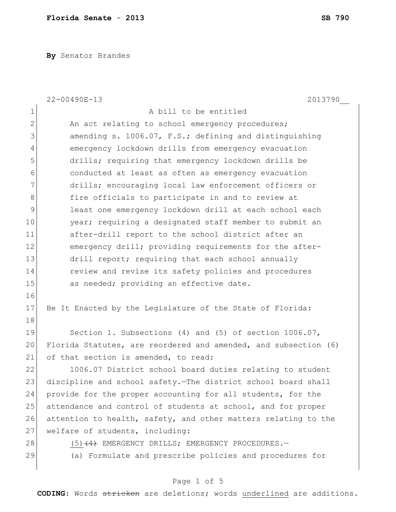**By** Senator Brandes

|                | 22-00490E-13<br>2013790                                         |
|----------------|-----------------------------------------------------------------|
| $\mathbf 1$    | A bill to be entitled                                           |
| $\mathbf{2}$   | An act relating to school emergency procedures;                 |
| 3              | amending s. 1006.07, F.S.; defining and distinguishing          |
| $\overline{4}$ | emergency lockdown drills from emergency evacuation             |
| 5              | drills; requiring that emergency lockdown drills be             |
| 6              | conducted at least as often as emergency evacuation             |
| 7              | drills; encouraging local law enforcement officers or           |
| 8              | fire officials to participate in and to review at               |
| $\mathsf 9$    | least one emergency lockdown drill at each school each          |
| 10             | year; requiring a designated staff member to submit an          |
| 11             | after-drill report to the school district after an              |
| 12             | emergency drill; providing requirements for the after-          |
| 13             | drill report; requiring that each school annually               |
| 14             | review and revise its safety policies and procedures            |
| 15             | as needed; providing an effective date.                         |
| 16             |                                                                 |
| 17             | Be It Enacted by the Legislature of the State of Florida:       |
| 18             |                                                                 |
| 19             | Section 1. Subsections (4) and (5) of section $1006.07$ ,       |
| 20             | Florida Statutes, are reordered and amended, and subsection (6) |
| 21             | of that section is amended, to read:                            |
| 22             | 1006.07 District school board duties relating to student        |
| 23             | discipline and school safety. The district school board shall   |
| 24             | provide for the proper accounting for all students, for the     |
| 25             | attendance and control of students at school, and for proper    |
| 26             | attention to health, safety, and other matters relating to the  |
| 27             | welfare of students, including:                                 |
| 28             | $(5)$ $(4)$ EMERGENCY DRILLS; EMERGENCY PROCEDURES. -           |
| 29             | (a) Formulate and prescribe policies and procedures for         |
|                |                                                                 |

## Page 1 of 5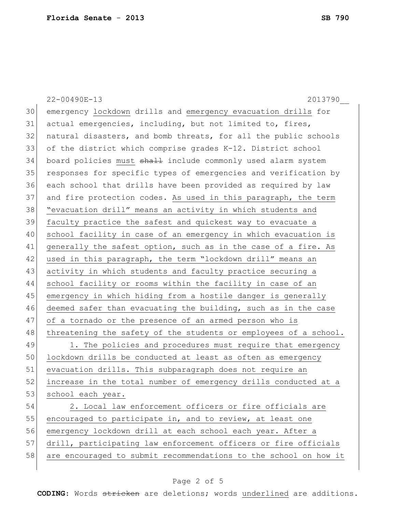|    | 2013790<br>22-00490E-13                                          |
|----|------------------------------------------------------------------|
| 30 | emergency lockdown drills and emergency evacuation drills for    |
| 31 | actual emergencies, including, but not limited to, fires,        |
| 32 | natural disasters, and bomb threats, for all the public schools  |
| 33 | of the district which comprise grades K-12. District school      |
| 34 | board policies must shall include commonly used alarm system     |
| 35 | responses for specific types of emergencies and verification by  |
| 36 | each school that drills have been provided as required by law    |
| 37 | and fire protection codes. As used in this paragraph, the term   |
| 38 | "evacuation drill" means an activity in which students and       |
| 39 | faculty practice the safest and quickest way to evacuate a       |
| 40 | school facility in case of an emergency in which evacuation is   |
| 41 | generally the safest option, such as in the case of a fire. As   |
| 42 | used in this paragraph, the term "lockdown drill" means an       |
| 43 | activity in which students and faculty practice securing a       |
| 44 | school facility or rooms within the facility in case of an       |
| 45 | emergency in which hiding from a hostile danger is generally     |
| 46 | deemed safer than evacuating the building, such as in the case   |
| 47 | of a tornado or the presence of an armed person who is           |
| 48 | threatening the safety of the students or employees of a school. |
| 49 | 1. The policies and procedures must require that emergency       |
| 50 | lockdown drills be conducted at least as often as emergency      |
| 51 | evacuation drills. This subparagraph does not require an         |
| 52 | increase in the total number of emergency drills conducted at a  |
| 53 | school each year.                                                |
| 54 | 2. Local law enforcement officers or fire officials are          |
| 55 | encouraged to participate in, and to review, at least one        |
| 56 | emergency lockdown drill at each school each year. After a       |
| 57 | drill, participating law enforcement officers or fire officials  |
| 58 | are encouraged to submit recommendations to the school on how it |
|    |                                                                  |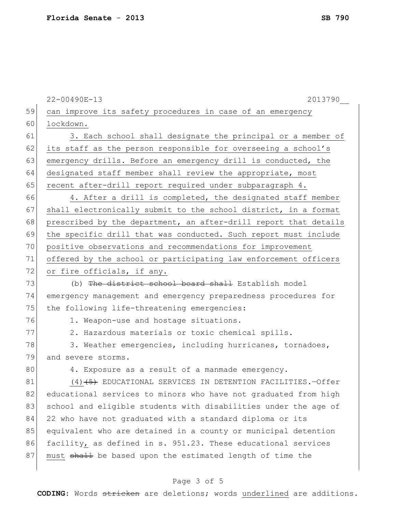22-00490E-13 2013790\_\_ 59 can improve its safety procedures in case of an emergency 60 lockdown. 61 3. Each school shall designate the principal or a member of 62 its staff as the person responsible for overseeing a school's 63 emergency drills. Before an emergency drill is conducted, the 64 designated staff member shall review the appropriate, most 65 recent after-drill report required under subparagraph  $4.$ 66 4. After a drill is completed, the designated staff member 67 shall electronically submit to the school district, in a format 68 prescribed by the department, an after-drill report that details 69 the specific drill that was conducted. Such report must include 70 positive observations and recommendations for improvement 71 offered by the school or participating law enforcement officers 72 or fire officials, if any. 73 (b) The district school board shall Establish model 74 emergency management and emergency preparedness procedures for 75 the following life-threatening emergencies: 76 1. Weapon-use and hostage situations. 77 2. Hazardous materials or toxic chemical spills. 78 3. Weather emergencies, including hurricanes, tornadoes, 79 and severe storms. 80 4. Exposure as a result of a manmade emergency. 81 (4)<del>(5)</del> EDUCATIONAL SERVICES IN DETENTION FACILITIES.-Offer 82 educational services to minors who have not graduated from high 83 school and eligible students with disabilities under the age of 84 22 who have not graduated with a standard diploma or its 85 equivalent who are detained in a county or municipal detention 86 facility, as defined in s. 951.23. These educational services 87 must shall be based upon the estimated length of time the

## Page 3 of 5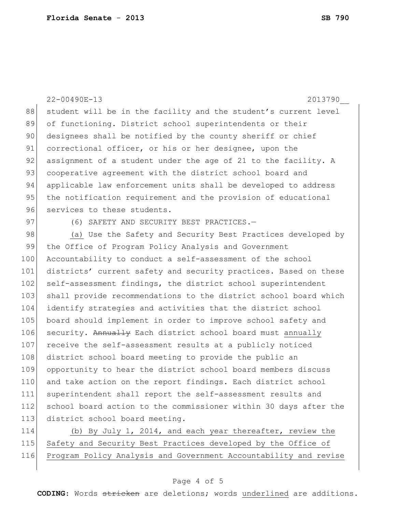22-00490E-13 2013790\_\_ 88 student will be in the facility and the student's current level 89 of functioning. District school superintendents or their 90 designees shall be notified by the county sheriff or chief 91 correctional officer, or his or her designee, upon the 92 assignment of a student under the age of 21 to the facility. A 93 cooperative agreement with the district school board and 94 applicable law enforcement units shall be developed to address 95 the notification requirement and the provision of educational 96 services to these students. 97 (6) SAFETY AND SECURITY BEST PRACTICES. 98 (a) Use the Safety and Security Best Practices developed by 99 the Office of Program Policy Analysis and Government 100 Accountability to conduct a self-assessment of the school 101 districts' current safety and security practices. Based on these 102 self-assessment findings, the district school superintendent 103 shall provide recommendations to the district school board which 104 identify strategies and activities that the district school 105 board should implement in order to improve school safety and 106 security. Annually Each district school board must annually 107 receive the self-assessment results at a publicly noticed 108 district school board meeting to provide the public an 109 opportunity to hear the district school board members discuss 110 and take action on the report findings. Each district school 111 superintendent shall report the self-assessment results and 112 school board action to the commissioner within 30 days after the 113 district school board meeting. 114 (b) By July 1, 2014, and each year thereafter, review the

115 Safety and Security Best Practices developed by the Office of 116 Program Policy Analysis and Government Accountability and revise

## Page 4 of 5